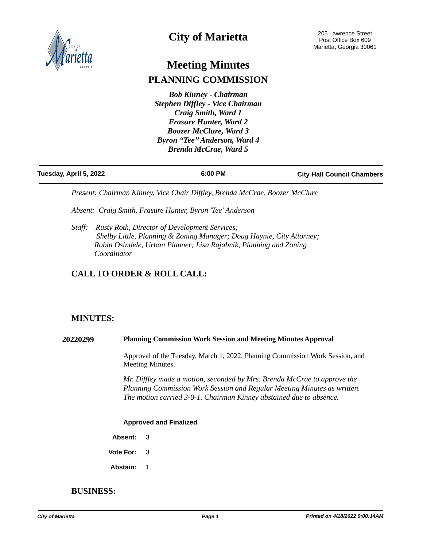

# **City of Marietta**

# **Meeting Minutes PLANNING COMMISSION**

*Bob Kinney - Chairman Stephen Diffley - Vice Chairman Craig Smith, Ward 1 Frasure Hunter, Ward 2 Boozer McClure, Ward 3 Byron "Tee" Anderson, Ward 4 Brenda McCrae, Ward 5*

| Tuesday, April 5, 2022 | 6:00 PM | <b>City Hall Council Chambers</b> |
|------------------------|---------|-----------------------------------|

*Present: Chairman Kinney, Vice Chair Diffley, Brenda McCrae, Boozer McClure*

*Absent: Craig Smith, Frasure Hunter, Byron 'Tee' Anderson*

*Staff: Rusty Roth, Director of Development Services; Shelby Little, Planning & Zoning Manager; Doug Haynie, City Attorney; Robin Osindele, Urban Planner; Lisa Rajabnik, Planning and Zoning Coordinator* 

# **CALL TO ORDER & ROLL CALL:**

# **MINUTES:**

**20220299 Planning Commission Work Session and Meeting Minutes Approval**

Approval of the Tuesday, March 1, 2022, Planning Commission Work Session, and Meeting Minutes.

*Mr. Diffley made a motion, seconded by Mrs. Brenda McCrae to approve the Planning Commission Work Session and Regular Meeting Minutes as written. The motion carried 3-0-1. Chairman Kinney abstained due to absence.* 

# **Approved and Finalized**

**Absent:** 3

**Vote For:** 3

**Abstain:** 1

# **BUSINESS:**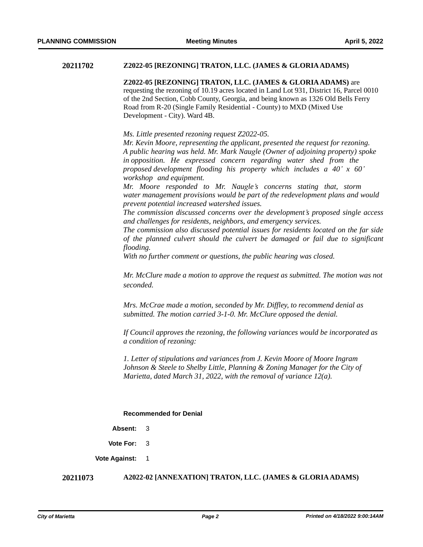# **20211702 Z2022-05 [REZONING] TRATON, LLC. (JAMES & GLORIA ADAMS)**

**Z2022-05 [REZONING] TRATON, LLC. (JAMES & GLORIA ADAMS)** are requesting the rezoning of 10.19 acres located in Land Lot 931, District 16, Parcel 0010 of the 2nd Section, Cobb County, Georgia, and being known as 1326 Old Bells Ferry Road from R-20 (Single Family Residential - County) to MXD (Mixed Use Development - City). Ward 4B.

*Ms. Little presented rezoning request Z2022-05.* 

*Mr. Kevin Moore, representing the applicant, presented the request for rezoning. A public hearing was held. Mr. Mark Naugle (Owner of adjoining property) spoke in opposition. He expressed concern regarding water shed from the proposed development flooding his property which includes a 40' x 60' workshop and equipment.* 

*Mr. Moore responded to Mr. Naugle's concerns stating that, storm water management provisions would be part of the redevelopment plans and would prevent potential increased watershed issues.* 

*The commission discussed concerns over the development's proposed single access and challenges for residents, neighbors, and emergency services.* 

*The commission also discussed potential issues for residents located on the far side of the planned culvert should the culvert be damaged or fail due to significant flooding.* 

*With no further comment or questions, the public hearing was closed.* 

*Mr. McClure made a motion to approve the request as submitted. The motion was not seconded.* 

*Mrs. McCrae made a motion, seconded by Mr. Diffley, to recommend denial as submitted. The motion carried 3-1-0. Mr. McClure opposed the denial.* 

*If Council approves the rezoning, the following variances would be incorporated as a condition of rezoning:* 

*1. Letter of stipulations and variances from J. Kevin Moore of Moore Ingram Johnson & Steele to Shelby Little, Planning & Zoning Manager for the City of Marietta, dated March 31, 2022, with the removal of variance 12(a).*

#### **Recommended for Denial**

**Absent:** 3

**Vote For:** 3

**Vote Against:** 1

#### **20211073 A2022-02 [ANNEXATION] TRATON, LLC. (JAMES & GLORIA ADAMS)**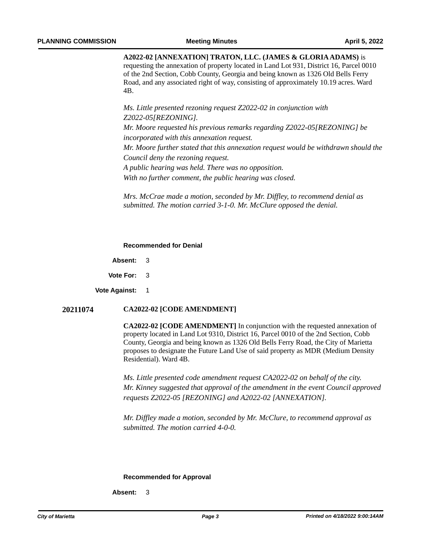**A2022-02 [ANNEXATION] TRATON, LLC. (JAMES & GLORIA ADAMS)** is requesting the annexation of property located in Land Lot 931, District 16, Parcel 0010 of the 2nd Section, Cobb County, Georgia and being known as 1326 Old Bells Ferry Road, and any associated right of way, consisting of approximately 10.19 acres. Ward 4B.

*Ms. Little presented rezoning request Z2022-02 in conjunction with Z2022-05[REZONING].*

*Mr. Moore requested his previous remarks regarding Z2022-05[REZONING] be incorporated with this annexation request.* 

*Mr. Moore further stated that this annexation request would be withdrawn should the Council deny the rezoning request.* 

*A public hearing was held. There was no opposition.*

*With no further comment, the public hearing was closed.* 

*Mrs. McCrae made a motion, seconded by Mr. Diffley, to recommend denial as submitted. The motion carried 3-1-0. Mr. McClure opposed the denial.* 

#### **Recommended for Denial**

**Absent:** 3

**Vote For:** 3

**Vote Against:** 1

# **20211074 CA2022-02 [CODE AMENDMENT]**

**CA2022-02 [CODE AMENDMENT]** In conjunction with the requested annexation of property located in Land Lot 9310, District 16, Parcel 0010 of the 2nd Section, Cobb County, Georgia and being known as 1326 Old Bells Ferry Road, the City of Marietta proposes to designate the Future Land Use of said property as MDR (Medium Density Residential). Ward 4B.

*Ms. Little presented code amendment request CA2022-02 on behalf of the city. Mr. Kinney suggested that approval of the amendment in the event Council approved requests Z2022-05 [REZONING] and A2022-02 [ANNEXATION].* 

*Mr. Diffley made a motion, seconded by Mr. McClure, to recommend approval as submitted. The motion carried 4-0-0.* 

# **Recommended for Approval**

**Absent:** 3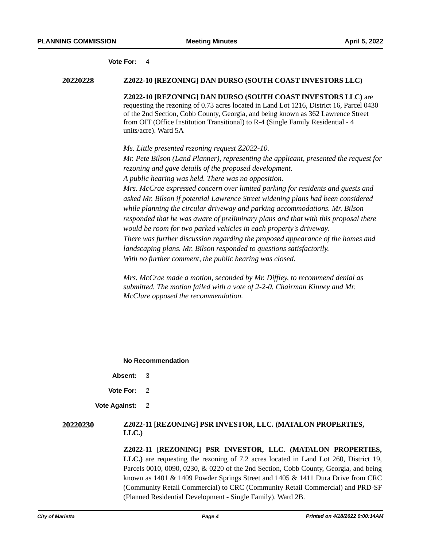#### **Vote For:** 4

#### **20220228 Z2022-10 [REZONING] DAN DURSO (SOUTH COAST INVESTORS LLC)**

**Z2022-10 [REZONING] DAN DURSO (SOUTH COAST INVESTORS LLC)** are requesting the rezoning of 0.73 acres located in Land Lot 1216, District 16, Parcel 0430 of the 2nd Section, Cobb County, Georgia, and being known as 362 Lawrence Street from OIT (Office Institution Transitional) to R-4 (Single Family Residential - 4 units/acre). Ward 5A

*Ms. Little presented rezoning request Z2022-10. Mr. Pete Bilson (Land Planner), representing the applicant, presented the request for rezoning and gave details of the proposed development. A public hearing was held. There was no opposition. Mrs. McCrae expressed concern over limited parking for residents and guests and asked Mr. Bilson if potential Lawrence Street widening plans had been considered while planning the circular driveway and parking accommodations. Mr. Bilson responded that he was aware of preliminary plans and that with this proposal there would be room for two parked vehicles in each property's driveway. There was further discussion regarding the proposed appearance of the homes and landscaping plans. Mr. Bilson responded to questions satisfactorily. With no further comment, the public hearing was closed.* 

*Mrs. McCrae made a motion, seconded by Mr. Diffley, to recommend denial as submitted. The motion failed with a vote of 2-2-0. Chairman Kinney and Mr. McClure opposed the recommendation.* 

**No Recommendation**

- **Absent:** 3
- **Vote For:** 2

**Vote Against:** 2

# **20220230 Z2022-11 [REZONING] PSR INVESTOR, LLC. (MATALON PROPERTIES, LLC.)**

**Z2022-11 [REZONING] PSR INVESTOR, LLC. (MATALON PROPERTIES, LLC.)** are requesting the rezoning of 7.2 acres located in Land Lot 260, District 19, Parcels 0010, 0090, 0230, & 0220 of the 2nd Section, Cobb County, Georgia, and being known as 1401 & 1409 Powder Springs Street and 1405 & 1411 Dura Drive from CRC (Community Retail Commercial) to CRC (Community Retail Commercial) and PRD-SF (Planned Residential Development - Single Family). Ward 2B.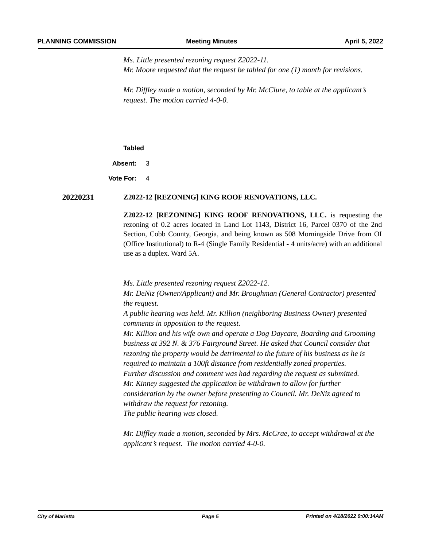*Ms. Little presented rezoning request Z2022-11. Mr. Moore requested that the request be tabled for one (1) month for revisions.* 

*Mr. Diffley made a motion, seconded by Mr. McClure, to table at the applicant's request. The motion carried 4-0-0.*

#### **Tabled**

**Absent:** 3

**Vote For:** 4

# **20220231 Z2022-12 [REZONING] KING ROOF RENOVATIONS, LLC.**

**Z2022-12 [REZONING] KING ROOF RENOVATIONS, LLC.** is requesting the rezoning of 0.2 acres located in Land Lot 1143, District 16, Parcel 0370 of the 2nd Section, Cobb County, Georgia, and being known as 508 Morningside Drive from OI (Office Institutional) to R-4 (Single Family Residential - 4 units/acre) with an additional use as a duplex. Ward 5A.

*Ms. Little presented rezoning request Z2022-12.* 

*Mr. DeNiz (Owner/Applicant) and Mr. Broughman (General Contractor) presented the request.*

*A public hearing was held. Mr. Killion (neighboring Business Owner) presented comments in opposition to the request.* 

*Mr. Killion and his wife own and operate a Dog Daycare, Boarding and Grooming business at 392 N. & 376 Fairground Street. He asked that Council consider that rezoning the property would be detrimental to the future of his business as he is required to maintain a 100ft distance from residentially zoned properties. Further discussion and comment was had regarding the request as submitted. Mr. Kinney suggested the application be withdrawn to allow for further consideration by the owner before presenting to Council. Mr. DeNiz agreed to withdraw the request for rezoning. The public hearing was closed.* 

*Mr. Diffley made a motion, seconded by Mrs. McCrae, to accept withdrawal at the applicant's request. The motion carried 4-0-0.*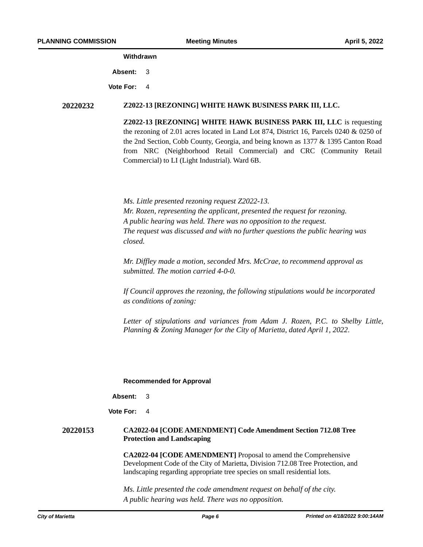# **Withdrawn**

**Absent:** 3

**Vote For:** 4

#### **20220232 Z2022-13 [REZONING] WHITE HAWK BUSINESS PARK III, LLC.**

**Z2022-13 [REZONING] WHITE HAWK BUSINESS PARK III, LLC** is requesting the rezoning of 2.01 acres located in Land Lot 874, District 16, Parcels 0240 & 0250 of the 2nd Section, Cobb County, Georgia, and being known as 1377 & 1395 Canton Road from NRC (Neighborhood Retail Commercial) and CRC (Community Retail Commercial) to LI (Light Industrial). Ward 6B.

*Ms. Little presented rezoning request Z2022-13. Mr. Rozen, representing the applicant, presented the request for rezoning. A public hearing was held. There was no opposition to the request. The request was discussed and with no further questions the public hearing was closed.*

*Mr. Diffley made a motion, seconded Mrs. McCrae, to recommend approval as submitted. The motion carried 4-0-0.*

*If Council approves the rezoning, the following stipulations would be incorporated as conditions of zoning:* 

*1. Letter of stipulations and variances from Adam J. Rozen, P.C. to Shelby Little, Planning & Zoning Manager for the City of Marietta, dated April 1, 2022.*

#### **Recommended for Approval**

**Absent:** 3

**Vote For:** 4

# **20220153 CA2022-04 [CODE AMENDMENT] Code Amendment Section 712.08 Tree Protection and Landscaping**

**CA2022-04 [CODE AMENDMENT]** Proposal to amend the Comprehensive Development Code of the City of Marietta, Division 712.08 Tree Protection, and landscaping regarding appropriate tree species on small residential lots.

*Ms. Little presented the code amendment request on behalf of the city. A public hearing was held. There was no opposition.*